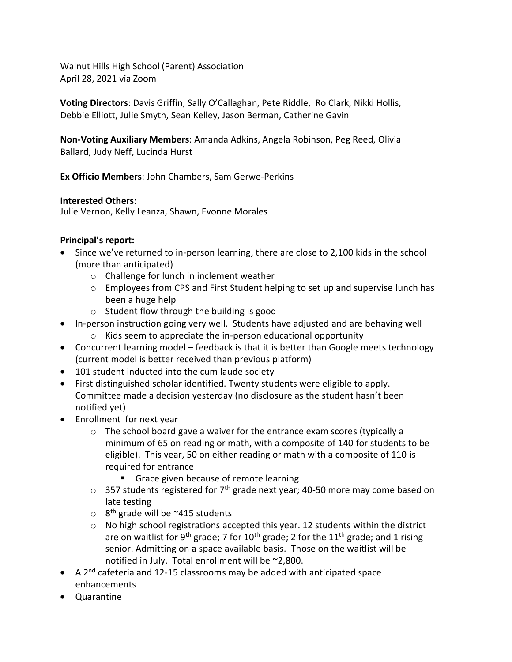Walnut Hills High School (Parent) Association April 28, 2021 via Zoom

**Voting Directors**: Davis Griffin, Sally O'Callaghan, Pete Riddle, Ro Clark, Nikki Hollis, Debbie Elliott, Julie Smyth, Sean Kelley, Jason Berman, Catherine Gavin

**Non-Voting Auxiliary Members**: Amanda Adkins, Angela Robinson, Peg Reed, Olivia Ballard, Judy Neff, Lucinda Hurst

**Ex Officio Members**: John Chambers, Sam Gerwe-Perkins

## **Interested Others**:

Julie Vernon, Kelly Leanza, Shawn, Evonne Morales

## **Principal's report:**

- Since we've returned to in-person learning, there are close to 2,100 kids in the school (more than anticipated)
	- o Challenge for lunch in inclement weather
	- o Employees from CPS and First Student helping to set up and supervise lunch has been a huge help
	- o Student flow through the building is good
- In-person instruction going very well. Students have adjusted and are behaving well
	- o Kids seem to appreciate the in-person educational opportunity
- Concurrent learning model feedback is that it is better than Google meets technology (current model is better received than previous platform)
- 101 student inducted into the cum laude society
- First distinguished scholar identified. Twenty students were eligible to apply. Committee made a decision yesterday (no disclosure as the student hasn't been notified yet)
- Enrollment for next year
	- $\circ$  The school board gave a waiver for the entrance exam scores (typically a minimum of 65 on reading or math, with a composite of 140 for students to be eligible). This year, 50 on either reading or math with a composite of 110 is required for entrance
		- **EXP** Grace given because of remote learning
	- $\circ$  357 students registered for 7<sup>th</sup> grade next year; 40-50 more may come based on late testing
	- $\circ$  8<sup>th</sup> grade will be ~415 students
	- $\circ$  No high school registrations accepted this year. 12 students within the district are on waitlist for 9<sup>th</sup> grade; 7 for 10<sup>th</sup> grade; 2 for the 11<sup>th</sup> grade; and 1 rising senior. Admitting on a space available basis. Those on the waitlist will be notified in July. Total enrollment will be ~2,800.
- A 2<sup>nd</sup> cafeteria and 12-15 classrooms may be added with anticipated space enhancements
- Quarantine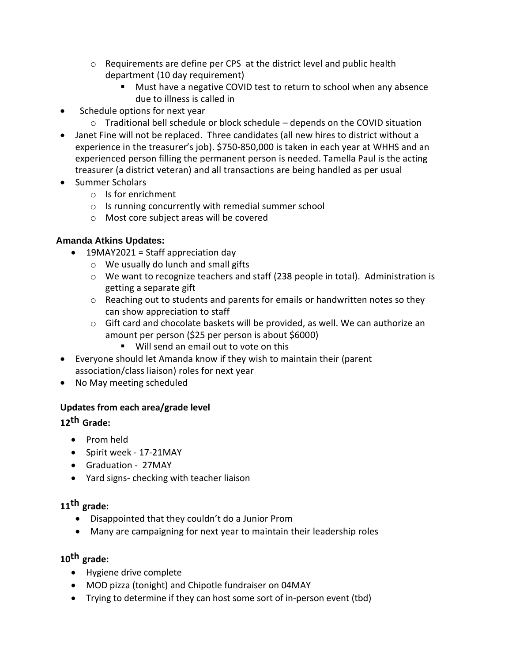- o Requirements are define per CPS at the district level and public health department (10 day requirement)
	- Must have a negative COVID test to return to school when any absence due to illness is called in
- Schedule options for next year
	- $\circ$  Traditional bell schedule or block schedule depends on the COVID situation
- Janet Fine will not be replaced. Three candidates (all new hires to district without a experience in the treasurer's job). \$750-850,000 is taken in each year at WHHS and an experienced person filling the permanent person is needed. Tamella Paul is the acting treasurer (a district veteran) and all transactions are being handled as per usual
- Summer Scholars
	- o Is for enrichment
	- o Is running concurrently with remedial summer school
	- o Most core subject areas will be covered

## **Amanda Atkins Updates:**

- 19MAY2021 = Staff appreciation day
	- o We usually do lunch and small gifts
	- $\circ$  We want to recognize teachers and staff (238 people in total). Administration is getting a separate gift
	- $\circ$  Reaching out to students and parents for emails or handwritten notes so they can show appreciation to staff
	- $\circ$  Gift card and chocolate baskets will be provided, as well. We can authorize an amount per person (\$25 per person is about \$6000)
		- Will send an email out to vote on this
- Everyone should let Amanda know if they wish to maintain their (parent association/class liaison) roles for next year
- No May meeting scheduled

## **Updates from each area/grade level**

## **12th Grade:**

- Prom held
- Spirit week 17-21MAY
- Graduation 27MAY
- Yard signs- checking with teacher liaison

# **11th grade:**

- Disappointed that they couldn't do a Junior Prom
- Many are campaigning for next year to maintain their leadership roles

# **10th grade:**

- Hygiene drive complete
- MOD pizza (tonight) and Chipotle fundraiser on 04MAY
- Trying to determine if they can host some sort of in-person event (tbd)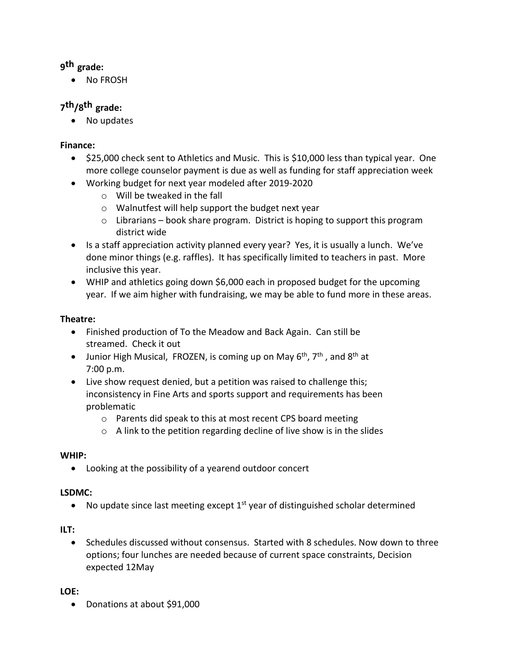# **9 th grade:**

• No FROSH

# **7 th/8 th grade:**

• No updates

## **Finance:**

- \$25,000 check sent to Athletics and Music. This is \$10,000 less than typical year. One more college counselor payment is due as well as funding for staff appreciation week
- Working budget for next year modeled after 2019-2020
	- o Will be tweaked in the fall
	- o Walnutfest will help support the budget next year
	- o Librarians book share program. District is hoping to support this program district wide
- Is a staff appreciation activity planned every year? Yes, it is usually a lunch. We've done minor things (e.g. raffles). It has specifically limited to teachers in past. More inclusive this year.
- WHIP and athletics going down \$6,000 each in proposed budget for the upcoming year. If we aim higher with fundraising, we may be able to fund more in these areas.

## **Theatre:**

- Finished production of To the Meadow and Back Again. Can still be streamed. Check it out
- Junior High Musical, FROZEN, is coming up on May  $6^{th}$ ,  $7^{th}$ , and  $8^{th}$  at 7:00 p.m.
- Live show request denied, but a petition was raised to challenge this; inconsistency in Fine Arts and sports support and requirements has been problematic
	- o Parents did speak to this at most recent CPS board meeting
	- $\circ$  A link to the petition regarding decline of live show is in the slides

## **WHIP:**

• Looking at the possibility of a yearend outdoor concert

## **LSDMC:**

• No update since last meeting except  $1<sup>st</sup>$  year of distinguished scholar determined

## **ILT:**

• Schedules discussed without consensus. Started with 8 schedules. Now down to three options; four lunches are needed because of current space constraints, Decision expected 12May

## **LOE:**

• Donations at about \$91,000